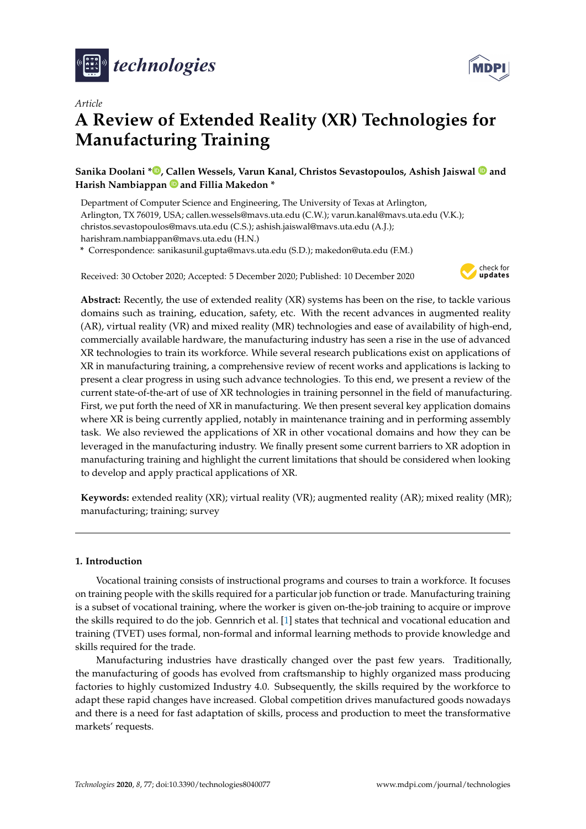



# **A Review of Extended Reality (XR) Technologies for Manufacturing Training**

**Sanika Doolani \* [,](https://orcid.org/0000-0002-0403-0042) Callen Wessels, Varun Kanal, Christos Sevastopoulos, Ashish Jaiswal and Harish Nambiappan and Fillia Makedon \***

Department of Computer Science and Engineering, The University of Texas at Arlington, Arlington, TX 76019, USA; callen.wessels@mavs.uta.edu (C.W.); varun.kanal@mavs.uta.edu (V.K.); christos.sevastopoulos@mavs.uta.edu (C.S.); ashish.jaiswal@mavs.uta.edu (A.J.); harishram.nambiappan@mavs.uta.edu (H.N.)

**\*** Correspondence: sanikasunil.gupta@mavs.uta.edu (S.D.); makedon@uta.edu (F.M.)

Received: 30 October 2020; Accepted: 5 December 2020; Published: 10 December 2020



**Abstract:** Recently, the use of extended reality (XR) systems has been on the rise, to tackle various domains such as training, education, safety, etc. With the recent advances in augmented reality (AR), virtual reality (VR) and mixed reality (MR) technologies and ease of availability of high-end, commercially available hardware, the manufacturing industry has seen a rise in the use of advanced XR technologies to train its workforce. While several research publications exist on applications of XR in manufacturing training, a comprehensive review of recent works and applications is lacking to present a clear progress in using such advance technologies. To this end, we present a review of the current state-of-the-art of use of XR technologies in training personnel in the field of manufacturing. First, we put forth the need of XR in manufacturing. We then present several key application domains where XR is being currently applied, notably in maintenance training and in performing assembly task. We also reviewed the applications of XR in other vocational domains and how they can be leveraged in the manufacturing industry. We finally present some current barriers to XR adoption in manufacturing training and highlight the current limitations that should be considered when looking to develop and apply practical applications of XR.

**Keywords:** extended reality (XR); virtual reality (VR); augmented reality (AR); mixed reality (MR); manufacturing; training; survey

# **1. Introduction**

Vocational training consists of instructional programs and courses to train a workforce. It focuses on training people with the skills required for a particular job function or trade. Manufacturing training is a subset of vocational training, where the worker is given on-the-job training to acquire or improve the skills required to do the job. Gennrich et al. [\[1\]](#page-16-0) states that technical and vocational education and training (TVET) uses formal, non-formal and informal learning methods to provide knowledge and skills required for the trade.

Manufacturing industries have drastically changed over the past few years. Traditionally, the manufacturing of goods has evolved from craftsmanship to highly organized mass producing factories to highly customized Industry 4.0. Subsequently, the skills required by the workforce to adapt these rapid changes have increased. Global competition drives manufactured goods nowadays and there is a need for fast adaptation of skills, process and production to meet the transformative markets' requests.

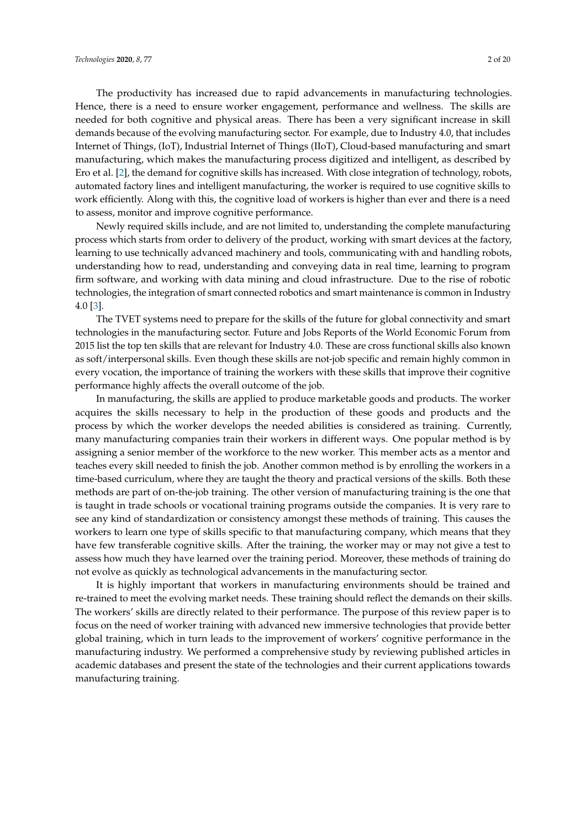The productivity has increased due to rapid advancements in manufacturing technologies. Hence, there is a need to ensure worker engagement, performance and wellness. The skills are needed for both cognitive and physical areas. There has been a very significant increase in skill demands because of the evolving manufacturing sector. For example, due to Industry 4.0, that includes Internet of Things, (IoT), Industrial Internet of Things (IIoT), Cloud-based manufacturing and smart manufacturing, which makes the manufacturing process digitized and intelligent, as described by Ero et al. [\[2\]](#page-16-1), the demand for cognitive skills has increased. With close integration of technology, robots, automated factory lines and intelligent manufacturing, the worker is required to use cognitive skills to work efficiently. Along with this, the cognitive load of workers is higher than ever and there is a need to assess, monitor and improve cognitive performance.

Newly required skills include, and are not limited to, understanding the complete manufacturing process which starts from order to delivery of the product, working with smart devices at the factory, learning to use technically advanced machinery and tools, communicating with and handling robots, understanding how to read, understanding and conveying data in real time, learning to program firm software, and working with data mining and cloud infrastructure. Due to the rise of robotic technologies, the integration of smart connected robotics and smart maintenance is common in Industry 4.0 [\[3\]](#page-16-2).

The TVET systems need to prepare for the skills of the future for global connectivity and smart technologies in the manufacturing sector. Future and Jobs Reports of the World Economic Forum from 2015 list the top ten skills that are relevant for Industry 4.0. These are cross functional skills also known as soft/interpersonal skills. Even though these skills are not-job specific and remain highly common in every vocation, the importance of training the workers with these skills that improve their cognitive performance highly affects the overall outcome of the job.

In manufacturing, the skills are applied to produce marketable goods and products. The worker acquires the skills necessary to help in the production of these goods and products and the process by which the worker develops the needed abilities is considered as training. Currently, many manufacturing companies train their workers in different ways. One popular method is by assigning a senior member of the workforce to the new worker. This member acts as a mentor and teaches every skill needed to finish the job. Another common method is by enrolling the workers in a time-based curriculum, where they are taught the theory and practical versions of the skills. Both these methods are part of on-the-job training. The other version of manufacturing training is the one that is taught in trade schools or vocational training programs outside the companies. It is very rare to see any kind of standardization or consistency amongst these methods of training. This causes the workers to learn one type of skills specific to that manufacturing company, which means that they have few transferable cognitive skills. After the training, the worker may or may not give a test to assess how much they have learned over the training period. Moreover, these methods of training do not evolve as quickly as technological advancements in the manufacturing sector.

It is highly important that workers in manufacturing environments should be trained and re-trained to meet the evolving market needs. These training should reflect the demands on their skills. The workers' skills are directly related to their performance. The purpose of this review paper is to focus on the need of worker training with advanced new immersive technologies that provide better global training, which in turn leads to the improvement of workers' cognitive performance in the manufacturing industry. We performed a comprehensive study by reviewing published articles in academic databases and present the state of the technologies and their current applications towards manufacturing training.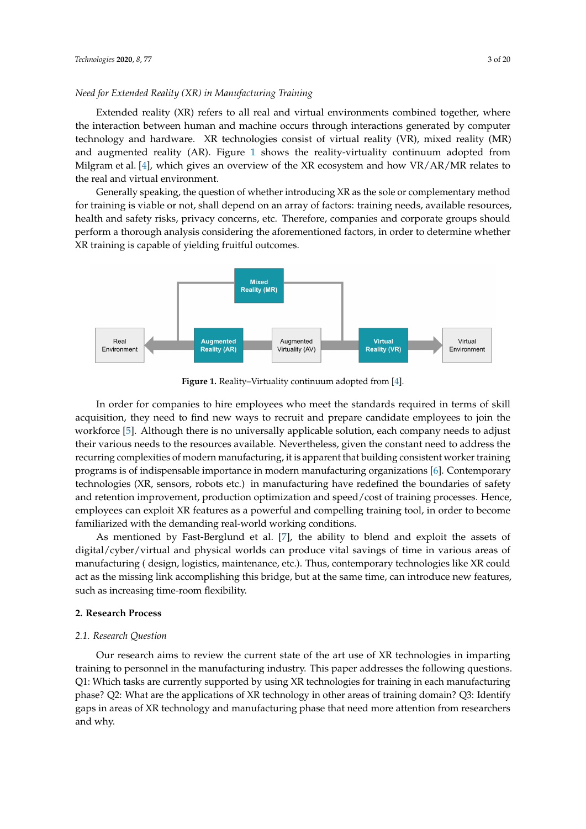# *Need for Extended Reality (XR) in Manufacturing Training*

Extended reality (XR) refers to all real and virtual environments combined together, where the interaction between human and machine occurs through interactions generated by computer technology and hardware. XR technologies consist of virtual reality (VR), mixed reality (MR) and augmented reality (AR). Figure [1](#page-2-0) shows the reality-virtuality continuum adopted from Milgram et al. [\[4\]](#page-16-3), which gives an overview of the XR ecosystem and how VR/AR/MR relates to the real and virtual environment.

Generally speaking, the question of whether introducing XR as the sole or complementary method for training is viable or not, shall depend on an array of factors: training needs, available resources, health and safety risks, privacy concerns, etc. Therefore, companies and corporate groups should perform a thorough analysis considering the aforementioned factors, in order to determine whether XR training is capable of yielding fruitful outcomes.

<span id="page-2-0"></span>

**Figure 1.** Reality–Virtuality continuum adopted from [\[4\]](#page-16-3).

In order for companies to hire employees who meet the standards required in terms of skill acquisition, they need to find new ways to recruit and prepare candidate employees to join the workforce [\[5\]](#page-16-4). Although there is no universally applicable solution, each company needs to adjust their various needs to the resources available. Nevertheless, given the constant need to address the recurring complexities of modern manufacturing, it is apparent that building consistent worker training programs is of indispensable importance in modern manufacturing organizations [\[6\]](#page-16-5). Contemporary technologies (XR, sensors, robots etc.) in manufacturing have redefined the boundaries of safety and retention improvement, production optimization and speed/cost of training processes. Hence, employees can exploit XR features as a powerful and compelling training tool, in order to become familiarized with the demanding real-world working conditions.

As mentioned by Fast-Berglund et al. [\[7\]](#page-16-6), the ability to blend and exploit the assets of digital/cyber/virtual and physical worlds can produce vital savings of time in various areas of manufacturing ( design, logistics, maintenance, etc.). Thus, contemporary technologies like XR could act as the missing link accomplishing this bridge, but at the same time, can introduce new features, such as increasing time-room flexibility.

# **2. Research Process**

## *2.1. Research Question*

Our research aims to review the current state of the art use of XR technologies in imparting training to personnel in the manufacturing industry. This paper addresses the following questions. Q1: Which tasks are currently supported by using XR technologies for training in each manufacturing phase? Q2: What are the applications of XR technology in other areas of training domain? Q3: Identify gaps in areas of XR technology and manufacturing phase that need more attention from researchers and why.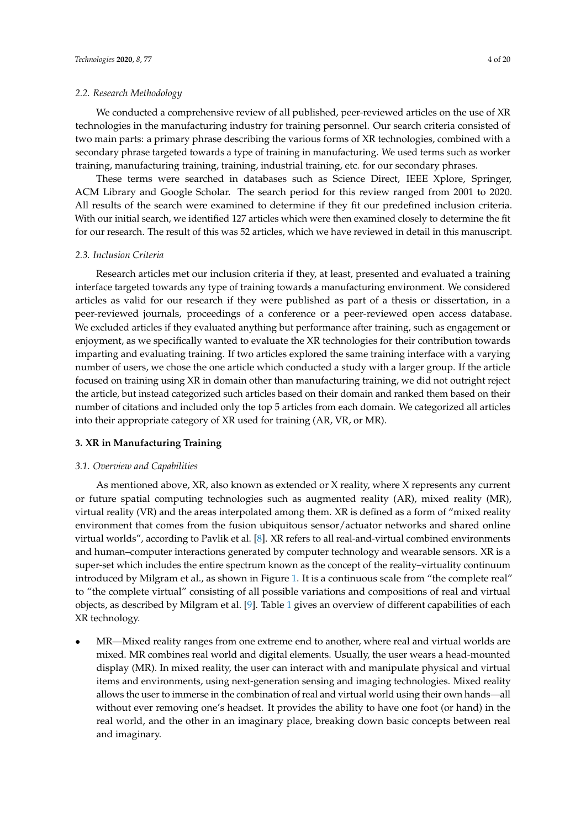## *2.2. Research Methodology*

We conducted a comprehensive review of all published, peer-reviewed articles on the use of XR technologies in the manufacturing industry for training personnel. Our search criteria consisted of two main parts: a primary phrase describing the various forms of XR technologies, combined with a secondary phrase targeted towards a type of training in manufacturing. We used terms such as worker training, manufacturing training, training, industrial training, etc. for our secondary phrases.

These terms were searched in databases such as Science Direct, IEEE Xplore, Springer, ACM Library and Google Scholar. The search period for this review ranged from 2001 to 2020. All results of the search were examined to determine if they fit our predefined inclusion criteria. With our initial search, we identified 127 articles which were then examined closely to determine the fit for our research. The result of this was 52 articles, which we have reviewed in detail in this manuscript.

# *2.3. Inclusion Criteria*

Research articles met our inclusion criteria if they, at least, presented and evaluated a training interface targeted towards any type of training towards a manufacturing environment. We considered articles as valid for our research if they were published as part of a thesis or dissertation, in a peer-reviewed journals, proceedings of a conference or a peer-reviewed open access database. We excluded articles if they evaluated anything but performance after training, such as engagement or enjoyment, as we specifically wanted to evaluate the XR technologies for their contribution towards imparting and evaluating training. If two articles explored the same training interface with a varying number of users, we chose the one article which conducted a study with a larger group. If the article focused on training using XR in domain other than manufacturing training, we did not outright reject the article, but instead categorized such articles based on their domain and ranked them based on their number of citations and included only the top 5 articles from each domain. We categorized all articles into their appropriate category of XR used for training (AR, VR, or MR).

## **3. XR in Manufacturing Training**

#### *3.1. Overview and Capabilities*

As mentioned above, XR, also known as extended or X reality, where X represents any current or future spatial computing technologies such as augmented reality (AR), mixed reality (MR), virtual reality (VR) and the areas interpolated among them. XR is defined as a form of "mixed reality environment that comes from the fusion ubiquitous sensor/actuator networks and shared online virtual worlds", according to Pavlik et al. [\[8\]](#page-16-7). XR refers to all real-and-virtual combined environments and human–computer interactions generated by computer technology and wearable sensors. XR is a super-set which includes the entire spectrum known as the concept of the reality–virtuality continuum introduced by Milgram et al., as shown in Figure [1.](#page-2-0) It is a continuous scale from "the complete real" to "the complete virtual" consisting of all possible variations and compositions of real and virtual objects, as described by Milgram et al. [\[9\]](#page-16-8). Table [1](#page-5-0) gives an overview of different capabilities of each XR technology.

• MR—Mixed reality ranges from one extreme end to another, where real and virtual worlds are mixed. MR combines real world and digital elements. Usually, the user wears a head-mounted display (MR). In mixed reality, the user can interact with and manipulate physical and virtual items and environments, using next-generation sensing and imaging technologies. Mixed reality allows the user to immerse in the combination of real and virtual world using their own hands—all without ever removing one's headset. It provides the ability to have one foot (or hand) in the real world, and the other in an imaginary place, breaking down basic concepts between real and imaginary.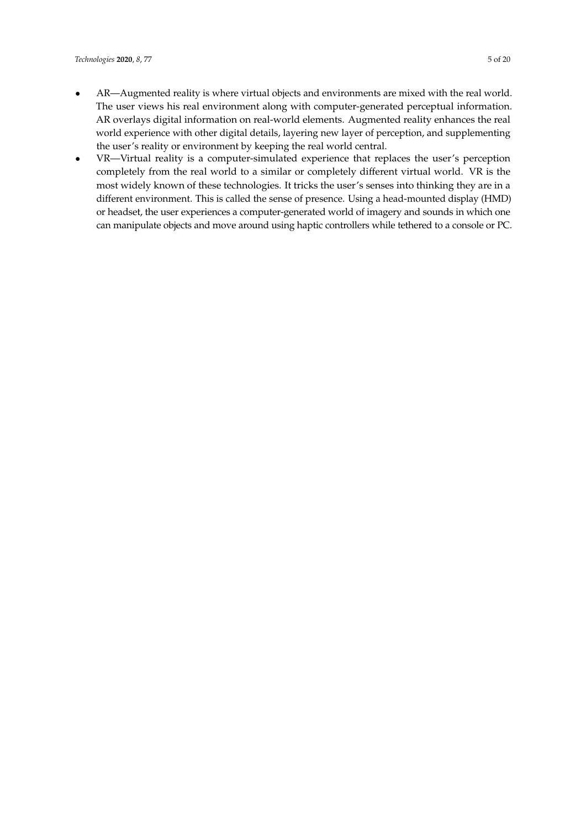- AR—Augmented reality is where virtual objects and environments are mixed with the real world. The user views his real environment along with computer-generated perceptual information. AR overlays digital information on real-world elements. Augmented reality enhances the real world experience with other digital details, layering new layer of perception, and supplementing the user's reality or environment by keeping the real world central.
- VR—Virtual reality is a computer-simulated experience that replaces the user's perception completely from the real world to a similar or completely different virtual world. VR is the most widely known of these technologies. It tricks the user's senses into thinking they are in a different environment. This is called the sense of presence. Using a head-mounted display (HMD) or headset, the user experiences a computer-generated world of imagery and sounds in which one can manipulate objects and move around using haptic controllers while tethered to a console or PC.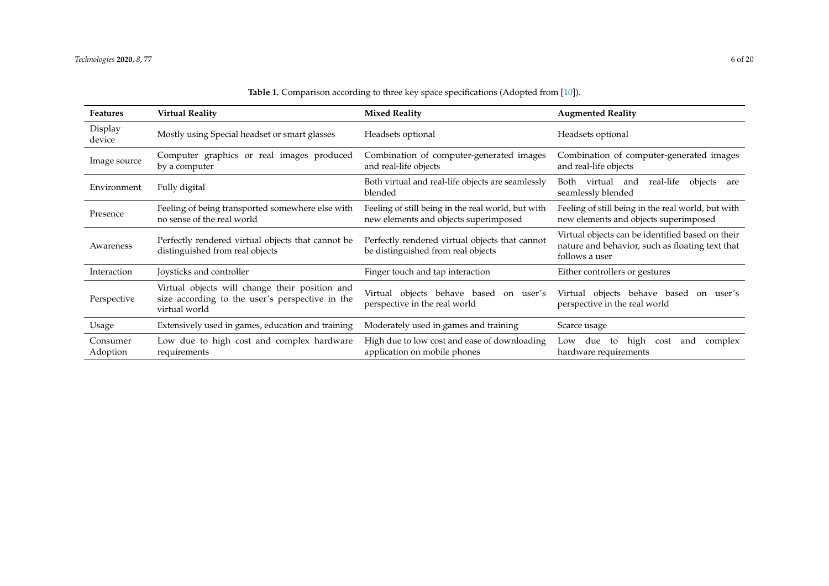<span id="page-5-0"></span>

| <b>Features</b>      | <b>Virtual Reality</b>                                                                                             | <b>Mixed Reality</b>                                                                        | <b>Augmented Reality</b>                                                                                              |
|----------------------|--------------------------------------------------------------------------------------------------------------------|---------------------------------------------------------------------------------------------|-----------------------------------------------------------------------------------------------------------------------|
| Display<br>device    | Mostly using Special headset or smart glasses                                                                      | Headsets optional                                                                           | Headsets optional                                                                                                     |
| Image source         | Computer graphics or real images produced<br>by a computer                                                         | Combination of computer-generated images<br>and real-life objects                           | Combination of computer-generated images<br>and real-life objects                                                     |
| Environment          | Fully digital                                                                                                      | Both virtual and real-life objects are seamlessly<br>blended                                | real-life<br>Both virtual and<br>objects<br>are<br>seamlessly blended                                                 |
| Presence             | Feeling of being transported somewhere else with<br>no sense of the real world                                     | Feeling of still being in the real world, but with<br>new elements and objects superimposed | Feeling of still being in the real world, but with<br>new elements and objects superimposed                           |
| Awareness            | Perfectly rendered virtual objects that cannot be<br>distinguished from real objects                               | Perfectly rendered virtual objects that cannot<br>be distinguished from real objects        | Virtual objects can be identified based on their<br>nature and behavior, such as floating text that<br>follows a user |
| Interaction          | Joysticks and controller                                                                                           | Finger touch and tap interaction                                                            | Either controllers or gestures                                                                                        |
| Perspective          | Virtual objects will change their position and<br>size according to the user's perspective in the<br>virtual world | Virtual objects behave based on user's<br>perspective in the real world                     | Virtual objects behave based<br>on user's<br>perspective in the real world                                            |
| Usage                | Extensively used in games, education and training                                                                  | Moderately used in games and training                                                       | Scarce usage                                                                                                          |
| Consumer<br>Adoption | Low due to high cost and complex hardware<br>requirements                                                          | High due to low cost and ease of downloading<br>application on mobile phones                | high<br>due to<br>complex<br>Low<br>cost<br>and<br>hardware requirements                                              |

**Table 1.** Comparison according to three key space specifications (Adopted from [\[10\]](#page-16-9)).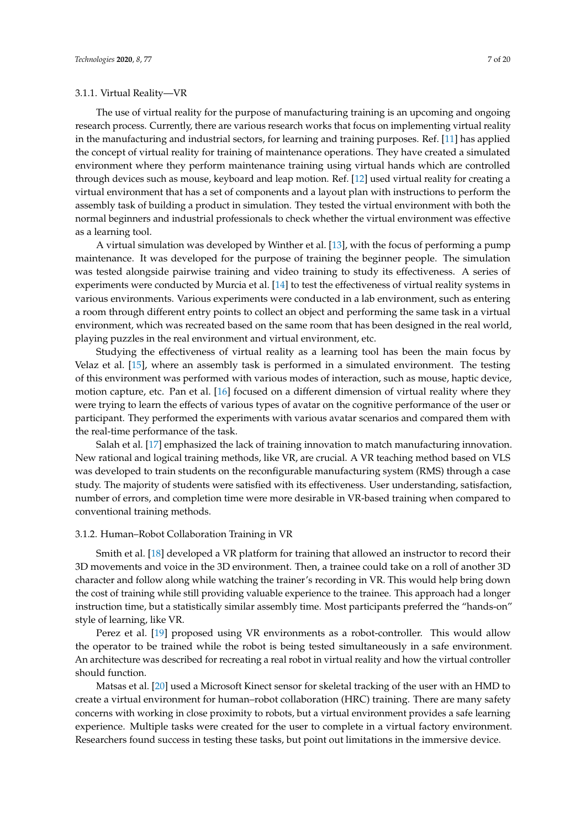## 3.1.1. Virtual Reality—VR

The use of virtual reality for the purpose of manufacturing training is an upcoming and ongoing research process. Currently, there are various research works that focus on implementing virtual reality in the manufacturing and industrial sectors, for learning and training purposes. Ref. [\[11\]](#page-16-10) has applied the concept of virtual reality for training of maintenance operations. They have created a simulated environment where they perform maintenance training using virtual hands which are controlled through devices such as mouse, keyboard and leap motion. Ref. [\[12\]](#page-16-11) used virtual reality for creating a virtual environment that has a set of components and a layout plan with instructions to perform the assembly task of building a product in simulation. They tested the virtual environment with both the normal beginners and industrial professionals to check whether the virtual environment was effective as a learning tool.

A virtual simulation was developed by Winther et al. [\[13\]](#page-16-12), with the focus of performing a pump maintenance. It was developed for the purpose of training the beginner people. The simulation was tested alongside pairwise training and video training to study its effectiveness. A series of experiments were conducted by Murcia et al. [\[14\]](#page-16-13) to test the effectiveness of virtual reality systems in various environments. Various experiments were conducted in a lab environment, such as entering a room through different entry points to collect an object and performing the same task in a virtual environment, which was recreated based on the same room that has been designed in the real world, playing puzzles in the real environment and virtual environment, etc.

Studying the effectiveness of virtual reality as a learning tool has been the main focus by Velaz et al. [\[15\]](#page-16-14), where an assembly task is performed in a simulated environment. The testing of this environment was performed with various modes of interaction, such as mouse, haptic device, motion capture, etc. Pan et al. [\[16\]](#page-17-0) focused on a different dimension of virtual reality where they were trying to learn the effects of various types of avatar on the cognitive performance of the user or participant. They performed the experiments with various avatar scenarios and compared them with the real-time performance of the task.

Salah et al. [\[17\]](#page-17-1) emphasized the lack of training innovation to match manufacturing innovation. New rational and logical training methods, like VR, are crucial. A VR teaching method based on VLS was developed to train students on the reconfigurable manufacturing system (RMS) through a case study. The majority of students were satisfied with its effectiveness. User understanding, satisfaction, number of errors, and completion time were more desirable in VR-based training when compared to conventional training methods.

# 3.1.2. Human–Robot Collaboration Training in VR

Smith et al. [\[18\]](#page-17-2) developed a VR platform for training that allowed an instructor to record their 3D movements and voice in the 3D environment. Then, a trainee could take on a roll of another 3D character and follow along while watching the trainer's recording in VR. This would help bring down the cost of training while still providing valuable experience to the trainee. This approach had a longer instruction time, but a statistically similar assembly time. Most participants preferred the "hands-on" style of learning, like VR.

Perez et al. [\[19\]](#page-17-3) proposed using VR environments as a robot-controller. This would allow the operator to be trained while the robot is being tested simultaneously in a safe environment. An architecture was described for recreating a real robot in virtual reality and how the virtual controller should function.

Matsas et al. [\[20\]](#page-17-4) used a Microsoft Kinect sensor for skeletal tracking of the user with an HMD to create a virtual environment for human–robot collaboration (HRC) training. There are many safety concerns with working in close proximity to robots, but a virtual environment provides a safe learning experience. Multiple tasks were created for the user to complete in a virtual factory environment. Researchers found success in testing these tasks, but point out limitations in the immersive device.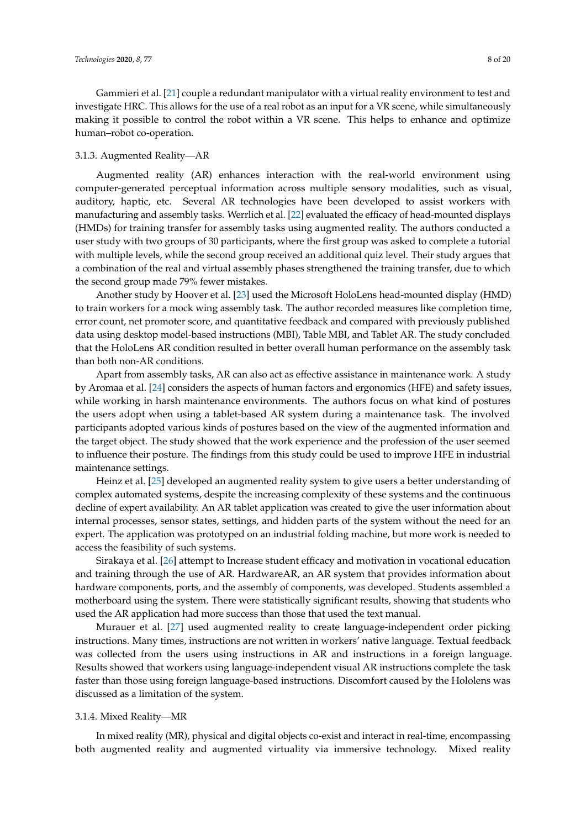Gammieri et al. [\[21\]](#page-17-5) couple a redundant manipulator with a virtual reality environment to test and investigate HRC. This allows for the use of a real robot as an input for a VR scene, while simultaneously making it possible to control the robot within a VR scene. This helps to enhance and optimize human–robot co-operation.

#### 3.1.3. Augmented Reality—AR

Augmented reality (AR) enhances interaction with the real-world environment using computer-generated perceptual information across multiple sensory modalities, such as visual, auditory, haptic, etc. Several AR technologies have been developed to assist workers with manufacturing and assembly tasks. Werrlich et al. [\[22\]](#page-17-6) evaluated the efficacy of head-mounted displays (HMDs) for training transfer for assembly tasks using augmented reality. The authors conducted a user study with two groups of 30 participants, where the first group was asked to complete a tutorial with multiple levels, while the second group received an additional quiz level. Their study argues that a combination of the real and virtual assembly phases strengthened the training transfer, due to which the second group made 79% fewer mistakes.

Another study by Hoover et al. [\[23\]](#page-17-7) used the Microsoft HoloLens head-mounted display (HMD) to train workers for a mock wing assembly task. The author recorded measures like completion time, error count, net promoter score, and quantitative feedback and compared with previously published data using desktop model-based instructions (MBI), Table MBI, and Tablet AR. The study concluded that the HoloLens AR condition resulted in better overall human performance on the assembly task than both non-AR conditions.

Apart from assembly tasks, AR can also act as effective assistance in maintenance work. A study by Aromaa et al. [\[24\]](#page-17-8) considers the aspects of human factors and ergonomics (HFE) and safety issues, while working in harsh maintenance environments. The authors focus on what kind of postures the users adopt when using a tablet-based AR system during a maintenance task. The involved participants adopted various kinds of postures based on the view of the augmented information and the target object. The study showed that the work experience and the profession of the user seemed to influence their posture. The findings from this study could be used to improve HFE in industrial maintenance settings.

Heinz et al. [\[25\]](#page-17-9) developed an augmented reality system to give users a better understanding of complex automated systems, despite the increasing complexity of these systems and the continuous decline of expert availability. An AR tablet application was created to give the user information about internal processes, sensor states, settings, and hidden parts of the system without the need for an expert. The application was prototyped on an industrial folding machine, but more work is needed to access the feasibility of such systems.

Sirakaya et al. [\[26\]](#page-17-10) attempt to Increase student efficacy and motivation in vocational education and training through the use of AR. HardwareAR, an AR system that provides information about hardware components, ports, and the assembly of components, was developed. Students assembled a motherboard using the system. There were statistically significant results, showing that students who used the AR application had more success than those that used the text manual.

Murauer et al. [\[27\]](#page-17-11) used augmented reality to create language-independent order picking instructions. Many times, instructions are not written in workers' native language. Textual feedback was collected from the users using instructions in AR and instructions in a foreign language. Results showed that workers using language-independent visual AR instructions complete the task faster than those using foreign language-based instructions. Discomfort caused by the Hololens was discussed as a limitation of the system.

## 3.1.4. Mixed Reality—MR

In mixed reality (MR), physical and digital objects co-exist and interact in real-time, encompassing both augmented reality and augmented virtuality via immersive technology. Mixed reality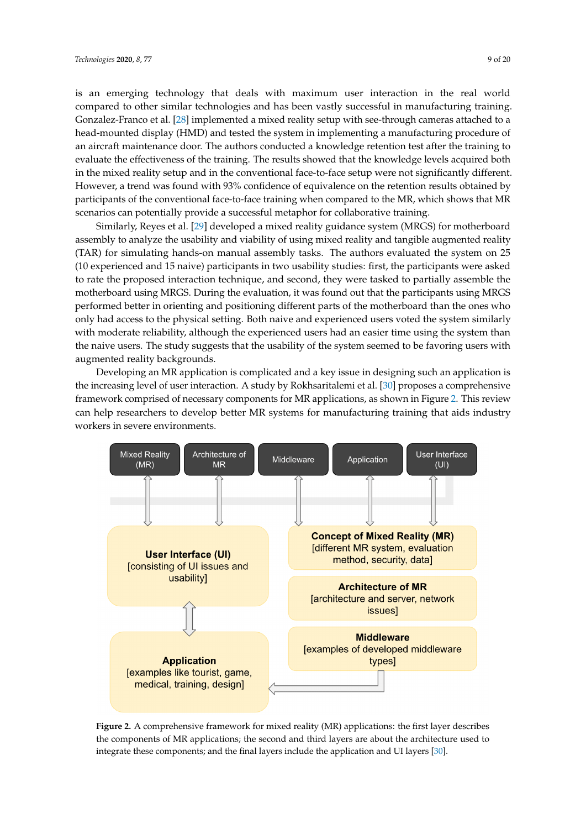is an emerging technology that deals with maximum user interaction in the real world compared to other similar technologies and has been vastly successful in manufacturing training. Gonzalez-Franco et al. [\[28\]](#page-17-12) implemented a mixed reality setup with see-through cameras attached to a head-mounted display (HMD) and tested the system in implementing a manufacturing procedure of an aircraft maintenance door. The authors conducted a knowledge retention test after the training to evaluate the effectiveness of the training. The results showed that the knowledge levels acquired both in the mixed reality setup and in the conventional face-to-face setup were not significantly different. However, a trend was found with 93% confidence of equivalence on the retention results obtained by participants of the conventional face-to-face training when compared to the MR, which shows that MR scenarios can potentially provide a successful metaphor for collaborative training.

Similarly, Reyes et al. [\[29\]](#page-17-13) developed a mixed reality guidance system (MRGS) for motherboard assembly to analyze the usability and viability of using mixed reality and tangible augmented reality (TAR) for simulating hands-on manual assembly tasks. The authors evaluated the system on 25 (10 experienced and 15 naive) participants in two usability studies: first, the participants were asked to rate the proposed interaction technique, and second, they were tasked to partially assemble the motherboard using MRGS. During the evaluation, it was found out that the participants using MRGS performed better in orienting and positioning different parts of the motherboard than the ones who only had access to the physical setting. Both naive and experienced users voted the system similarly with moderate reliability, although the experienced users had an easier time using the system than the naive users. The study suggests that the usability of the system seemed to be favoring users with augmented reality backgrounds.

Developing an MR application is complicated and a key issue in designing such an application is the increasing level of user interaction. A study by Rokhsaritalemi et al. [\[30\]](#page-17-14) proposes a comprehensive framework comprised of necessary components for MR applications, as shown in Figure [2.](#page-8-0) This review can help researchers to develop better MR systems for manufacturing training that aids industry workers in severe environments.

<span id="page-8-0"></span>

**Figure 2.** A comprehensive framework for mixed reality (MR) applications: the first layer describes the components of MR applications; the second and third layers are about the architecture used to integrate these components; and the final layers include the application and UI layers [\[30\]](#page-17-14).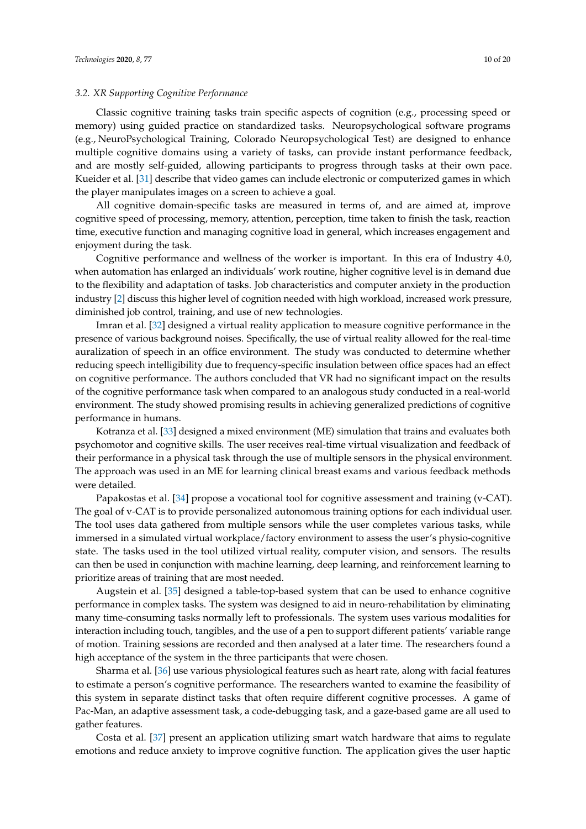## *3.2. XR Supporting Cognitive Performance*

Classic cognitive training tasks train specific aspects of cognition (e.g., processing speed or memory) using guided practice on standardized tasks. Neuropsychological software programs (e.g., NeuroPsychological Training, Colorado Neuropsychological Test) are designed to enhance multiple cognitive domains using a variety of tasks, can provide instant performance feedback, and are mostly self-guided, allowing participants to progress through tasks at their own pace. Kueider et al. [\[31\]](#page-17-15) describe that video games can include electronic or computerized games in which the player manipulates images on a screen to achieve a goal.

All cognitive domain-specific tasks are measured in terms of, and are aimed at, improve cognitive speed of processing, memory, attention, perception, time taken to finish the task, reaction time, executive function and managing cognitive load in general, which increases engagement and enjoyment during the task.

Cognitive performance and wellness of the worker is important. In this era of Industry 4.0, when automation has enlarged an individuals' work routine, higher cognitive level is in demand due to the flexibility and adaptation of tasks. Job characteristics and computer anxiety in the production industry [\[2\]](#page-16-1) discuss this higher level of cognition needed with high workload, increased work pressure, diminished job control, training, and use of new technologies.

Imran et al. [\[32\]](#page-17-16) designed a virtual reality application to measure cognitive performance in the presence of various background noises. Specifically, the use of virtual reality allowed for the real-time auralization of speech in an office environment. The study was conducted to determine whether reducing speech intelligibility due to frequency-specific insulation between office spaces had an effect on cognitive performance. The authors concluded that VR had no significant impact on the results of the cognitive performance task when compared to an analogous study conducted in a real-world environment. The study showed promising results in achieving generalized predictions of cognitive performance in humans.

Kotranza et al. [\[33\]](#page-17-17) designed a mixed environment (ME) simulation that trains and evaluates both psychomotor and cognitive skills. The user receives real-time virtual visualization and feedback of their performance in a physical task through the use of multiple sensors in the physical environment. The approach was used in an ME for learning clinical breast exams and various feedback methods were detailed.

Papakostas et al. [\[34\]](#page-17-18) propose a vocational tool for cognitive assessment and training (v-CAT). The goal of v-CAT is to provide personalized autonomous training options for each individual user. The tool uses data gathered from multiple sensors while the user completes various tasks, while immersed in a simulated virtual workplace/factory environment to assess the user's physio-cognitive state. The tasks used in the tool utilized virtual reality, computer vision, and sensors. The results can then be used in conjunction with machine learning, deep learning, and reinforcement learning to prioritize areas of training that are most needed.

Augstein et al. [\[35\]](#page-18-0) designed a table-top-based system that can be used to enhance cognitive performance in complex tasks. The system was designed to aid in neuro-rehabilitation by eliminating many time-consuming tasks normally left to professionals. The system uses various modalities for interaction including touch, tangibles, and the use of a pen to support different patients' variable range of motion. Training sessions are recorded and then analysed at a later time. The researchers found a high acceptance of the system in the three participants that were chosen.

Sharma et al. [\[36\]](#page-18-1) use various physiological features such as heart rate, along with facial features to estimate a person's cognitive performance. The researchers wanted to examine the feasibility of this system in separate distinct tasks that often require different cognitive processes. A game of Pac-Man, an adaptive assessment task, a code-debugging task, and a gaze-based game are all used to gather features.

Costa et al. [\[37\]](#page-18-2) present an application utilizing smart watch hardware that aims to regulate emotions and reduce anxiety to improve cognitive function. The application gives the user haptic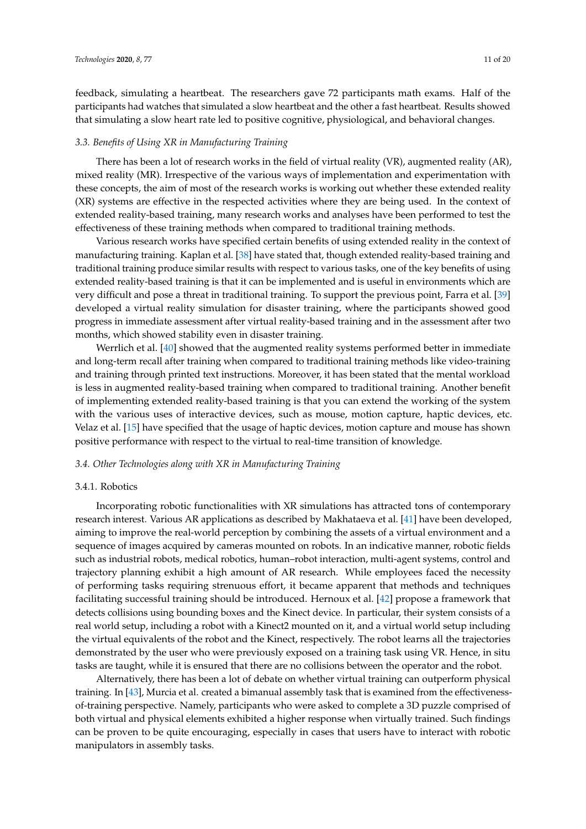feedback, simulating a heartbeat. The researchers gave 72 participants math exams. Half of the

# *3.3. Benefits of Using XR in Manufacturing Training*

There has been a lot of research works in the field of virtual reality (VR), augmented reality (AR), mixed reality (MR). Irrespective of the various ways of implementation and experimentation with these concepts, the aim of most of the research works is working out whether these extended reality (XR) systems are effective in the respected activities where they are being used. In the context of extended reality-based training, many research works and analyses have been performed to test the effectiveness of these training methods when compared to traditional training methods.

participants had watches that simulated a slow heartbeat and the other a fast heartbeat. Results showed that simulating a slow heart rate led to positive cognitive, physiological, and behavioral changes.

Various research works have specified certain benefits of using extended reality in the context of manufacturing training. Kaplan et al. [\[38\]](#page-18-3) have stated that, though extended reality-based training and traditional training produce similar results with respect to various tasks, one of the key benefits of using extended reality-based training is that it can be implemented and is useful in environments which are very difficult and pose a threat in traditional training. To support the previous point, Farra et al. [\[39\]](#page-18-4) developed a virtual reality simulation for disaster training, where the participants showed good progress in immediate assessment after virtual reality-based training and in the assessment after two months, which showed stability even in disaster training.

Werrlich et al. [\[40\]](#page-18-5) showed that the augmented reality systems performed better in immediate and long-term recall after training when compared to traditional training methods like video-training and training through printed text instructions. Moreover, it has been stated that the mental workload is less in augmented reality-based training when compared to traditional training. Another benefit of implementing extended reality-based training is that you can extend the working of the system with the various uses of interactive devices, such as mouse, motion capture, haptic devices, etc. Velaz et al. [\[15\]](#page-16-14) have specified that the usage of haptic devices, motion capture and mouse has shown positive performance with respect to the virtual to real-time transition of knowledge.

# *3.4. Other Technologies along with XR in Manufacturing Training*

## 3.4.1. Robotics

Incorporating robotic functionalities with XR simulations has attracted tons of contemporary research interest. Various AR applications as described by Makhataeva et al. [\[41\]](#page-18-6) have been developed, aiming to improve the real-world perception by combining the assets of a virtual environment and a sequence of images acquired by cameras mounted on robots. In an indicative manner, robotic fields such as industrial robots, medical robotics, human–robot interaction, multi-agent systems, control and trajectory planning exhibit a high amount of AR research. While employees faced the necessity of performing tasks requiring strenuous effort, it became apparent that methods and techniques facilitating successful training should be introduced. Hernoux et al. [\[42\]](#page-18-7) propose a framework that detects collisions using bounding boxes and the Kinect device. In particular, their system consists of a real world setup, including a robot with a Kinect2 mounted on it, and a virtual world setup including the virtual equivalents of the robot and the Kinect, respectively. The robot learns all the trajectories demonstrated by the user who were previously exposed on a training task using VR. Hence, in situ tasks are taught, while it is ensured that there are no collisions between the operator and the robot.

Alternatively, there has been a lot of debate on whether virtual training can outperform physical training. In [\[43\]](#page-18-8), Murcia et al. created a bimanual assembly task that is examined from the effectivenessof-training perspective. Namely, participants who were asked to complete a 3D puzzle comprised of both virtual and physical elements exhibited a higher response when virtually trained. Such findings can be proven to be quite encouraging, especially in cases that users have to interact with robotic manipulators in assembly tasks.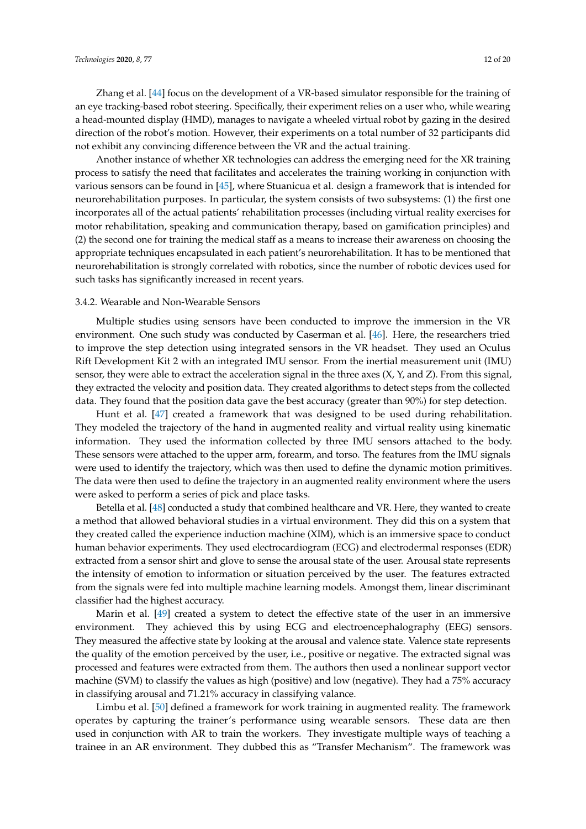Zhang et al. [\[44\]](#page-18-9) focus on the development of a VR-based simulator responsible for the training of an eye tracking-based robot steering. Specifically, their experiment relies on a user who, while wearing a head-mounted display (HMD), manages to navigate a wheeled virtual robot by gazing in the desired direction of the robot's motion. However, their experiments on a total number of 32 participants did not exhibit any convincing difference between the VR and the actual training.

Another instance of whether XR technologies can address the emerging need for the XR training process to satisfy the need that facilitates and accelerates the training working in conjunction with various sensors can be found in [\[45\]](#page-18-10), where Stuanicua et al. design a framework that is intended for neurorehabilitation purposes. In particular, the system consists of two subsystems: (1) the first one incorporates all of the actual patients' rehabilitation processes (including virtual reality exercises for motor rehabilitation, speaking and communication therapy, based on gamification principles) and (2) the second one for training the medical staff as a means to increase their awareness on choosing the appropriate techniques encapsulated in each patient's neurorehabilitation. It has to be mentioned that neurorehabilitation is strongly correlated with robotics, since the number of robotic devices used for such tasks has significantly increased in recent years.

#### 3.4.2. Wearable and Non-Wearable Sensors

Multiple studies using sensors have been conducted to improve the immersion in the VR environment. One such study was conducted by Caserman et al. [\[46\]](#page-18-11). Here, the researchers tried to improve the step detection using integrated sensors in the VR headset. They used an Oculus Rift Development Kit 2 with an integrated IMU sensor. From the inertial measurement unit (IMU) sensor, they were able to extract the acceleration signal in the three axes  $(X, Y, Z)$ , From this signal, they extracted the velocity and position data. They created algorithms to detect steps from the collected data. They found that the position data gave the best accuracy (greater than 90%) for step detection.

Hunt et al. [\[47\]](#page-18-12) created a framework that was designed to be used during rehabilitation. They modeled the trajectory of the hand in augmented reality and virtual reality using kinematic information. They used the information collected by three IMU sensors attached to the body. These sensors were attached to the upper arm, forearm, and torso. The features from the IMU signals were used to identify the trajectory, which was then used to define the dynamic motion primitives. The data were then used to define the trajectory in an augmented reality environment where the users were asked to perform a series of pick and place tasks.

Betella et al. [\[48\]](#page-18-13) conducted a study that combined healthcare and VR. Here, they wanted to create a method that allowed behavioral studies in a virtual environment. They did this on a system that they created called the experience induction machine (XIM), which is an immersive space to conduct human behavior experiments. They used electrocardiogram (ECG) and electrodermal responses (EDR) extracted from a sensor shirt and glove to sense the arousal state of the user. Arousal state represents the intensity of emotion to information or situation perceived by the user. The features extracted from the signals were fed into multiple machine learning models. Amongst them, linear discriminant classifier had the highest accuracy.

Marin et al. [\[49\]](#page-18-14) created a system to detect the effective state of the user in an immersive environment. They achieved this by using ECG and electroencephalography (EEG) sensors. They measured the affective state by looking at the arousal and valence state. Valence state represents the quality of the emotion perceived by the user, i.e., positive or negative. The extracted signal was processed and features were extracted from them. The authors then used a nonlinear support vector machine (SVM) to classify the values as high (positive) and low (negative). They had a 75% accuracy in classifying arousal and 71.21% accuracy in classifying valance.

Limbu et al. [\[50\]](#page-18-15) defined a framework for work training in augmented reality. The framework operates by capturing the trainer's performance using wearable sensors. These data are then used in conjunction with AR to train the workers. They investigate multiple ways of teaching a trainee in an AR environment. They dubbed this as "Transfer Mechanism". The framework was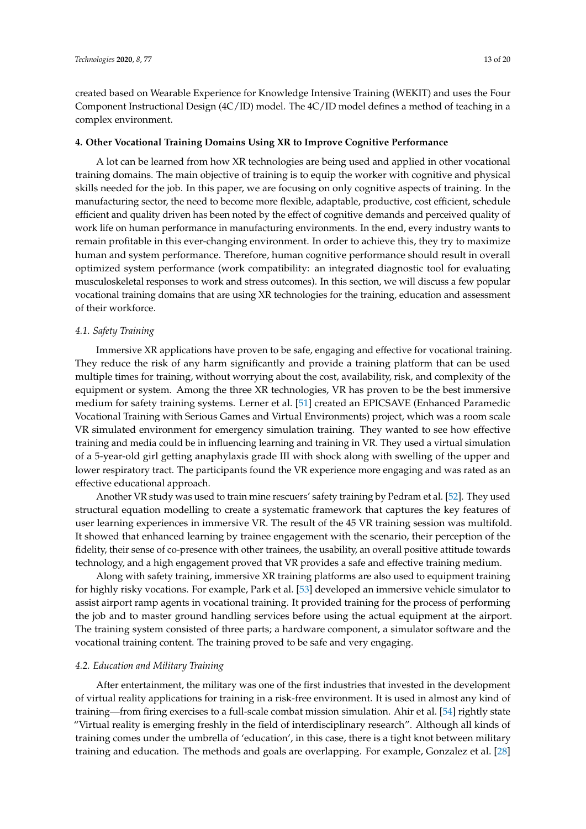created based on Wearable Experience for Knowledge Intensive Training (WEKIT) and uses the Four Component Instructional Design (4C/ID) model. The 4C/ID model defines a method of teaching in a complex environment.

## **4. Other Vocational Training Domains Using XR to Improve Cognitive Performance**

A lot can be learned from how XR technologies are being used and applied in other vocational training domains. The main objective of training is to equip the worker with cognitive and physical skills needed for the job. In this paper, we are focusing on only cognitive aspects of training. In the manufacturing sector, the need to become more flexible, adaptable, productive, cost efficient, schedule efficient and quality driven has been noted by the effect of cognitive demands and perceived quality of work life on human performance in manufacturing environments. In the end, every industry wants to remain profitable in this ever-changing environment. In order to achieve this, they try to maximize human and system performance. Therefore, human cognitive performance should result in overall optimized system performance (work compatibility: an integrated diagnostic tool for evaluating musculoskeletal responses to work and stress outcomes). In this section, we will discuss a few popular vocational training domains that are using XR technologies for the training, education and assessment of their workforce.

# *4.1. Safety Training*

Immersive XR applications have proven to be safe, engaging and effective for vocational training. They reduce the risk of any harm significantly and provide a training platform that can be used multiple times for training, without worrying about the cost, availability, risk, and complexity of the equipment or system. Among the three XR technologies, VR has proven to be the best immersive medium for safety training systems. Lerner et al. [\[51\]](#page-18-16) created an EPICSAVE (Enhanced Paramedic Vocational Training with Serious Games and Virtual Environments) project, which was a room scale VR simulated environment for emergency simulation training. They wanted to see how effective training and media could be in influencing learning and training in VR. They used a virtual simulation of a 5-year-old girl getting anaphylaxis grade III with shock along with swelling of the upper and lower respiratory tract. The participants found the VR experience more engaging and was rated as an effective educational approach.

Another VR study was used to train mine rescuers' safety training by Pedram et al. [\[52\]](#page-18-17). They used structural equation modelling to create a systematic framework that captures the key features of user learning experiences in immersive VR. The result of the 45 VR training session was multifold. It showed that enhanced learning by trainee engagement with the scenario, their perception of the fidelity, their sense of co-presence with other trainees, the usability, an overall positive attitude towards technology, and a high engagement proved that VR provides a safe and effective training medium.

Along with safety training, immersive XR training platforms are also used to equipment training for highly risky vocations. For example, Park et al. [\[53\]](#page-19-0) developed an immersive vehicle simulator to assist airport ramp agents in vocational training. It provided training for the process of performing the job and to master ground handling services before using the actual equipment at the airport. The training system consisted of three parts; a hardware component, a simulator software and the vocational training content. The training proved to be safe and very engaging.

# *4.2. Education and Military Training*

After entertainment, the military was one of the first industries that invested in the development of virtual reality applications for training in a risk-free environment. It is used in almost any kind of training—from firing exercises to a full-scale combat mission simulation. Ahir et al. [\[54\]](#page-19-1) rightly state "Virtual reality is emerging freshly in the field of interdisciplinary research". Although all kinds of training comes under the umbrella of 'education', in this case, there is a tight knot between military training and education. The methods and goals are overlapping. For example, Gonzalez et al. [\[28\]](#page-17-12)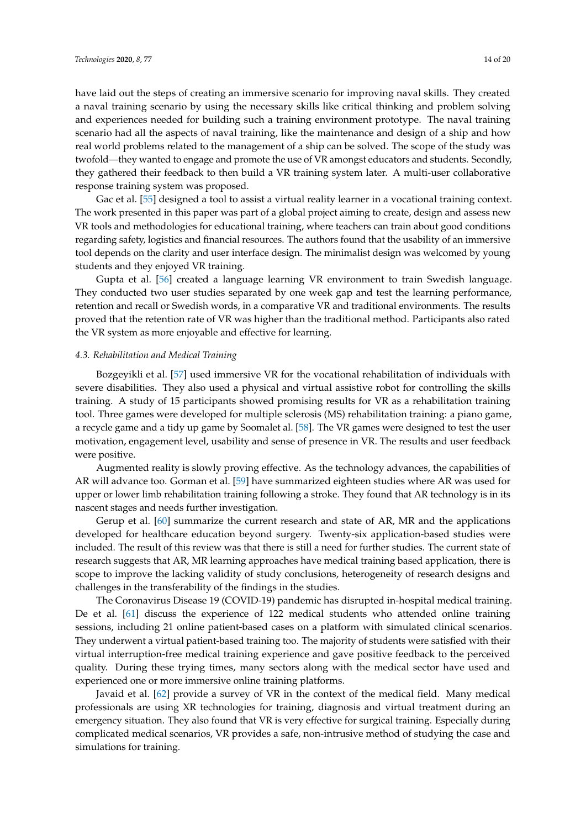have laid out the steps of creating an immersive scenario for improving naval skills. They created a naval training scenario by using the necessary skills like critical thinking and problem solving and experiences needed for building such a training environment prototype. The naval training scenario had all the aspects of naval training, like the maintenance and design of a ship and how real world problems related to the management of a ship can be solved. The scope of the study was twofold—they wanted to engage and promote the use of VR amongst educators and students. Secondly, they gathered their feedback to then build a VR training system later. A multi-user collaborative response training system was proposed.

Gac et al. [\[55\]](#page-19-2) designed a tool to assist a virtual reality learner in a vocational training context. The work presented in this paper was part of a global project aiming to create, design and assess new VR tools and methodologies for educational training, where teachers can train about good conditions regarding safety, logistics and financial resources. The authors found that the usability of an immersive tool depends on the clarity and user interface design. The minimalist design was welcomed by young students and they enjoyed VR training.

Gupta et al. [\[56\]](#page-19-3) created a language learning VR environment to train Swedish language. They conducted two user studies separated by one week gap and test the learning performance, retention and recall or Swedish words, in a comparative VR and traditional environments. The results proved that the retention rate of VR was higher than the traditional method. Participants also rated the VR system as more enjoyable and effective for learning.

## *4.3. Rehabilitation and Medical Training*

Bozgeyikli et al. [\[57\]](#page-19-4) used immersive VR for the vocational rehabilitation of individuals with severe disabilities. They also used a physical and virtual assistive robot for controlling the skills training. A study of 15 participants showed promising results for VR as a rehabilitation training tool. Three games were developed for multiple sclerosis (MS) rehabilitation training: a piano game, a recycle game and a tidy up game by Soomalet al. [\[58\]](#page-19-5). The VR games were designed to test the user motivation, engagement level, usability and sense of presence in VR. The results and user feedback were positive.

Augmented reality is slowly proving effective. As the technology advances, the capabilities of AR will advance too. Gorman et al. [\[59\]](#page-19-6) have summarized eighteen studies where AR was used for upper or lower limb rehabilitation training following a stroke. They found that AR technology is in its nascent stages and needs further investigation.

Gerup et al. [\[60\]](#page-19-7) summarize the current research and state of AR, MR and the applications developed for healthcare education beyond surgery. Twenty-six application-based studies were included. The result of this review was that there is still a need for further studies. The current state of research suggests that AR, MR learning approaches have medical training based application, there is scope to improve the lacking validity of study conclusions, heterogeneity of research designs and challenges in the transferability of the findings in the studies.

The Coronavirus Disease 19 (COVID-19) pandemic has disrupted in-hospital medical training. De et al. [\[61\]](#page-19-8) discuss the experience of 122 medical students who attended online training sessions, including 21 online patient-based cases on a platform with simulated clinical scenarios. They underwent a virtual patient-based training too. The majority of students were satisfied with their virtual interruption-free medical training experience and gave positive feedback to the perceived quality. During these trying times, many sectors along with the medical sector have used and experienced one or more immersive online training platforms.

Javaid et al. [\[62\]](#page-19-9) provide a survey of VR in the context of the medical field. Many medical professionals are using XR technologies for training, diagnosis and virtual treatment during an emergency situation. They also found that VR is very effective for surgical training. Especially during complicated medical scenarios, VR provides a safe, non-intrusive method of studying the case and simulations for training.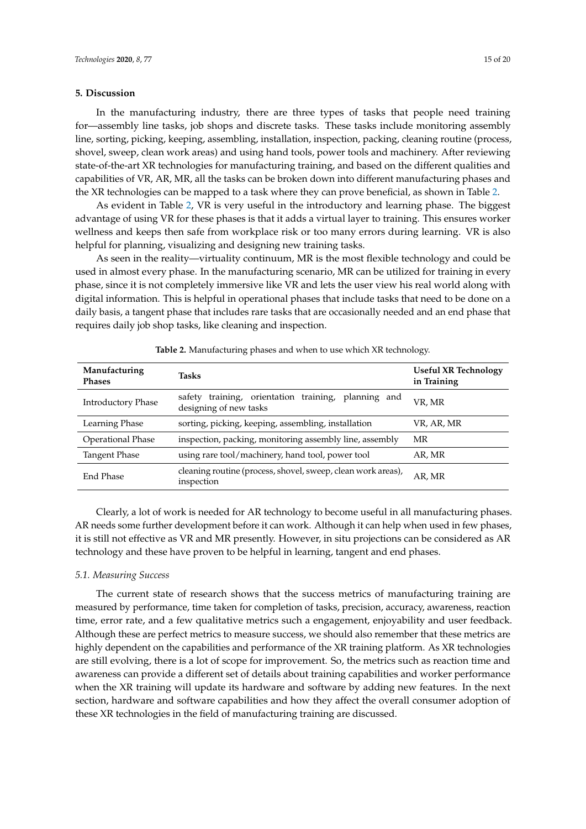## **5. Discussion**

In the manufacturing industry, there are three types of tasks that people need training for—assembly line tasks, job shops and discrete tasks. These tasks include monitoring assembly line, sorting, picking, keeping, assembling, installation, inspection, packing, cleaning routine (process, shovel, sweep, clean work areas) and using hand tools, power tools and machinery. After reviewing state-of-the-art XR technologies for manufacturing training, and based on the different qualities and capabilities of VR, AR, MR, all the tasks can be broken down into different manufacturing phases and the XR technologies can be mapped to a task where they can prove beneficial, as shown in Table [2.](#page-14-0)

As evident in Table [2,](#page-14-0) VR is very useful in the introductory and learning phase. The biggest advantage of using VR for these phases is that it adds a virtual layer to training. This ensures worker wellness and keeps then safe from workplace risk or too many errors during learning. VR is also helpful for planning, visualizing and designing new training tasks.

As seen in the reality—virtuality continuum, MR is the most flexible technology and could be used in almost every phase. In the manufacturing scenario, MR can be utilized for training in every phase, since it is not completely immersive like VR and lets the user view his real world along with digital information. This is helpful in operational phases that include tasks that need to be done on a daily basis, a tangent phase that includes rare tasks that are occasionally needed and an end phase that requires daily job shop tasks, like cleaning and inspection.

<span id="page-14-0"></span>

| Manufacturing<br><b>Phases</b>                                           | <b>Tasks</b>                                                                  | Useful XR Technology<br>in Training |
|--------------------------------------------------------------------------|-------------------------------------------------------------------------------|-------------------------------------|
| Introductory Phase                                                       | safety training, orientation training, planning and<br>designing of new tasks | VR, MR                              |
| Learning Phase                                                           | sorting, picking, keeping, assembling, installation                           | VR, AR, MR                          |
| <b>Operational Phase</b>                                                 | inspection, packing, monitoring assembly line, assembly                       | MR                                  |
| using rare tool/machinery, hand tool, power tool<br><b>Tangent Phase</b> |                                                                               | AR, MR                              |
| End Phase                                                                | cleaning routine (process, shovel, sweep, clean work areas),<br>inspection    | AR, MR                              |

**Table 2.** Manufacturing phases and when to use which XR technology.

Clearly, a lot of work is needed for AR technology to become useful in all manufacturing phases. AR needs some further development before it can work. Although it can help when used in few phases, it is still not effective as VR and MR presently. However, in situ projections can be considered as AR technology and these have proven to be helpful in learning, tangent and end phases.

# *5.1. Measuring Success*

The current state of research shows that the success metrics of manufacturing training are measured by performance, time taken for completion of tasks, precision, accuracy, awareness, reaction time, error rate, and a few qualitative metrics such a engagement, enjoyability and user feedback. Although these are perfect metrics to measure success, we should also remember that these metrics are highly dependent on the capabilities and performance of the XR training platform. As XR technologies are still evolving, there is a lot of scope for improvement. So, the metrics such as reaction time and awareness can provide a different set of details about training capabilities and worker performance when the XR training will update its hardware and software by adding new features. In the next section, hardware and software capabilities and how they affect the overall consumer adoption of these XR technologies in the field of manufacturing training are discussed.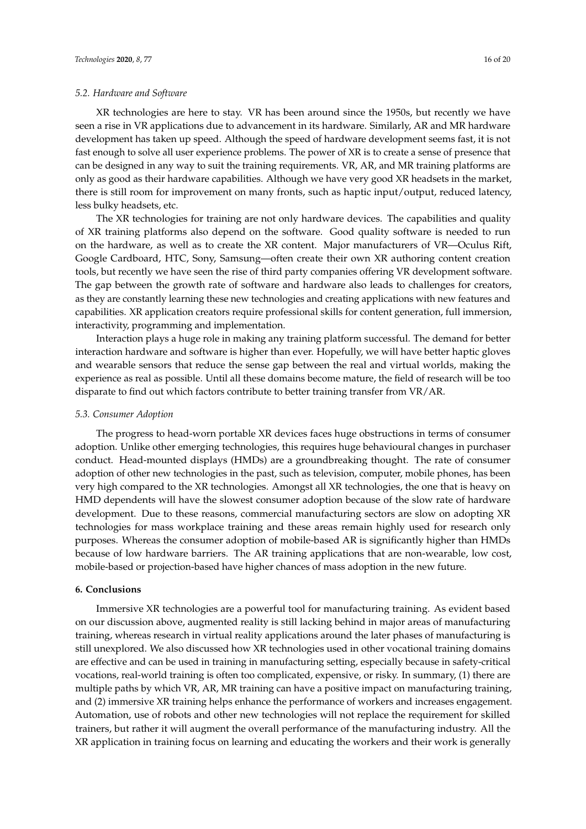## *5.2. Hardware and Software*

XR technologies are here to stay. VR has been around since the 1950s, but recently we have seen a rise in VR applications due to advancement in its hardware. Similarly, AR and MR hardware development has taken up speed. Although the speed of hardware development seems fast, it is not fast enough to solve all user experience problems. The power of XR is to create a sense of presence that can be designed in any way to suit the training requirements. VR, AR, and MR training platforms are only as good as their hardware capabilities. Although we have very good XR headsets in the market, there is still room for improvement on many fronts, such as haptic input/output, reduced latency, less bulky headsets, etc.

The XR technologies for training are not only hardware devices. The capabilities and quality of XR training platforms also depend on the software. Good quality software is needed to run on the hardware, as well as to create the XR content. Major manufacturers of VR—Oculus Rift, Google Cardboard, HTC, Sony, Samsung—often create their own XR authoring content creation tools, but recently we have seen the rise of third party companies offering VR development software. The gap between the growth rate of software and hardware also leads to challenges for creators, as they are constantly learning these new technologies and creating applications with new features and capabilities. XR application creators require professional skills for content generation, full immersion, interactivity, programming and implementation.

Interaction plays a huge role in making any training platform successful. The demand for better interaction hardware and software is higher than ever. Hopefully, we will have better haptic gloves and wearable sensors that reduce the sense gap between the real and virtual worlds, making the experience as real as possible. Until all these domains become mature, the field of research will be too disparate to find out which factors contribute to better training transfer from VR/AR.

#### *5.3. Consumer Adoption*

The progress to head-worn portable XR devices faces huge obstructions in terms of consumer adoption. Unlike other emerging technologies, this requires huge behavioural changes in purchaser conduct. Head-mounted displays (HMDs) are a groundbreaking thought. The rate of consumer adoption of other new technologies in the past, such as television, computer, mobile phones, has been very high compared to the XR technologies. Amongst all XR technologies, the one that is heavy on HMD dependents will have the slowest consumer adoption because of the slow rate of hardware development. Due to these reasons, commercial manufacturing sectors are slow on adopting XR technologies for mass workplace training and these areas remain highly used for research only purposes. Whereas the consumer adoption of mobile-based AR is significantly higher than HMDs because of low hardware barriers. The AR training applications that are non-wearable, low cost, mobile-based or projection-based have higher chances of mass adoption in the new future.

## **6. Conclusions**

Immersive XR technologies are a powerful tool for manufacturing training. As evident based on our discussion above, augmented reality is still lacking behind in major areas of manufacturing training, whereas research in virtual reality applications around the later phases of manufacturing is still unexplored. We also discussed how XR technologies used in other vocational training domains are effective and can be used in training in manufacturing setting, especially because in safety-critical vocations, real-world training is often too complicated, expensive, or risky. In summary, (1) there are multiple paths by which VR, AR, MR training can have a positive impact on manufacturing training, and (2) immersive XR training helps enhance the performance of workers and increases engagement. Automation, use of robots and other new technologies will not replace the requirement for skilled trainers, but rather it will augment the overall performance of the manufacturing industry. All the XR application in training focus on learning and educating the workers and their work is generally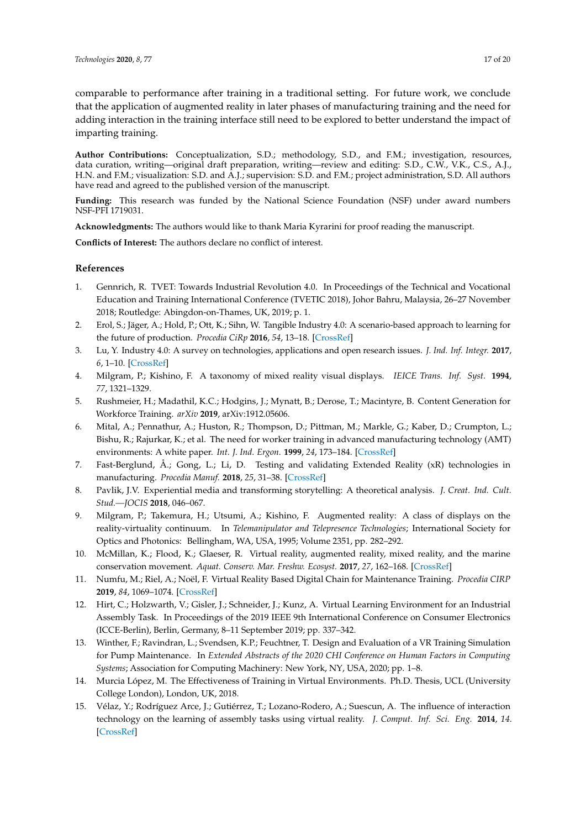comparable to performance after training in a traditional setting. For future work, we conclude that the application of augmented reality in later phases of manufacturing training and the need for adding interaction in the training interface still need to be explored to better understand the impact of imparting training.

**Author Contributions:** Conceptualization, S.D.; methodology, S.D., and F.M.; investigation, resources, data curation, writing—original draft preparation, writing—review and editing: S.D., C.W., V.K., C.S., A.J., H.N. and F.M.; visualization: S.D. and A.J.; supervision: S.D. and F.M.; project administration, S.D. All authors have read and agreed to the published version of the manuscript.

**Funding:** This research was funded by the National Science Foundation (NSF) under award numbers NSF-PFI 1719031.

**Acknowledgments:** The authors would like to thank Maria Kyrarini for proof reading the manuscript.

**Conflicts of Interest:** The authors declare no conflict of interest.

# **References**

- <span id="page-16-0"></span>1. Gennrich, R. TVET: Towards Industrial Revolution 4.0. In Proceedings of the Technical and Vocational Education and Training International Conference (TVETIC 2018), Johor Bahru, Malaysia, 26–27 November 2018; Routledge: Abingdon-on-Thames, UK, 2019; p. 1.
- <span id="page-16-9"></span><span id="page-16-1"></span>2. Erol, S.; Jäger, A.; Hold, P.; Ott, K.; Sihn, W. Tangible Industry 4.0: A scenario-based approach to learning for the future of production. *Procedia CiRp* **2016**, *54*, 13–18. [\[CrossRef\]](http://dx.doi.org/10.1016/j.procir.2016.03.162)
- <span id="page-16-2"></span>3. Lu, Y. Industry 4.0: A survey on technologies, applications and open research issues. *J. Ind. Inf. Integr.* **2017**, *6*, 1–10. [\[CrossRef\]](http://dx.doi.org/10.1016/j.jii.2017.04.005)
- <span id="page-16-3"></span>4. Milgram, P.; Kishino, F. A taxonomy of mixed reality visual displays. *IEICE Trans. Inf. Syst.* **1994**, *77*, 1321–1329.
- <span id="page-16-4"></span>5. Rushmeier, H.; Madathil, K.C.; Hodgins, J.; Mynatt, B.; Derose, T.; Macintyre, B. Content Generation for Workforce Training. *arXiv* **2019**, arXiv:1912.05606.
- <span id="page-16-5"></span>6. Mital, A.; Pennathur, A.; Huston, R.; Thompson, D.; Pittman, M.; Markle, G.; Kaber, D.; Crumpton, L.; Bishu, R.; Rajurkar, K.; et al. The need for worker training in advanced manufacturing technology (AMT) environments: A white paper. *Int. J. Ind. Ergon.* **1999**, *24*, 173–184. [\[CrossRef\]](http://dx.doi.org/10.1016/S0169-8141(98)00024-9)
- <span id="page-16-6"></span>7. Fast-Berglund, Å.; Gong, L.; Li, D. Testing and validating Extended Reality (xR) technologies in manufacturing. *Procedia Manuf.* **2018**, *25*, 31–38. [\[CrossRef\]](http://dx.doi.org/10.1016/j.promfg.2018.06.054)
- <span id="page-16-7"></span>8. Pavlik, J.V. Experiential media and transforming storytelling: A theoretical analysis. *J. Creat. Ind. Cult. Stud.—JOCIS* **2018**, 046–067.
- <span id="page-16-8"></span>9. Milgram, P.; Takemura, H.; Utsumi, A.; Kishino, F. Augmented reality: A class of displays on the reality-virtuality continuum. In *Telemanipulator and Telepresence Technologies*; International Society for Optics and Photonics: Bellingham, WA, USA, 1995; Volume 2351, pp. 282–292.
- 10. McMillan, K.; Flood, K.; Glaeser, R. Virtual reality, augmented reality, mixed reality, and the marine conservation movement. *Aquat. Conserv. Mar. Freshw. Ecosyst.* **2017**, *27*, 162–168. [\[CrossRef\]](http://dx.doi.org/10.1002/aqc.2820)
- <span id="page-16-10"></span>11. Numfu, M.; Riel, A.; Noël, F. Virtual Reality Based Digital Chain for Maintenance Training. *Procedia CIRP* **2019**, *84*, 1069–1074. [\[CrossRef\]](http://dx.doi.org/10.1016/j.procir.2019.04.268)
- <span id="page-16-11"></span>12. Hirt, C.; Holzwarth, V.; Gisler, J.; Schneider, J.; Kunz, A. Virtual Learning Environment for an Industrial Assembly Task. In Proceedings of the 2019 IEEE 9th International Conference on Consumer Electronics (ICCE-Berlin), Berlin, Germany, 8–11 September 2019; pp. 337–342.
- <span id="page-16-12"></span>13. Winther, F.; Ravindran, L.; Svendsen, K.P.; Feuchtner, T. Design and Evaluation of a VR Training Simulation for Pump Maintenance. In *Extended Abstracts of the 2020 CHI Conference on Human Factors in Computing Systems*; Association for Computing Machinery: New York, NY, USA, 2020; pp. 1–8.
- <span id="page-16-13"></span>14. Murcia López, M. The Effectiveness of Training in Virtual Environments. Ph.D. Thesis, UCL (University College London), London, UK, 2018.
- <span id="page-16-14"></span>15. Vélaz, Y.; Rodríguez Arce, J.; Gutiérrez, T.; Lozano-Rodero, A.; Suescun, A. The influence of interaction technology on the learning of assembly tasks using virtual reality. *J. Comput. Inf. Sci. Eng.* **2014**, *14*. [\[CrossRef\]](http://dx.doi.org/10.1115/1.4028588)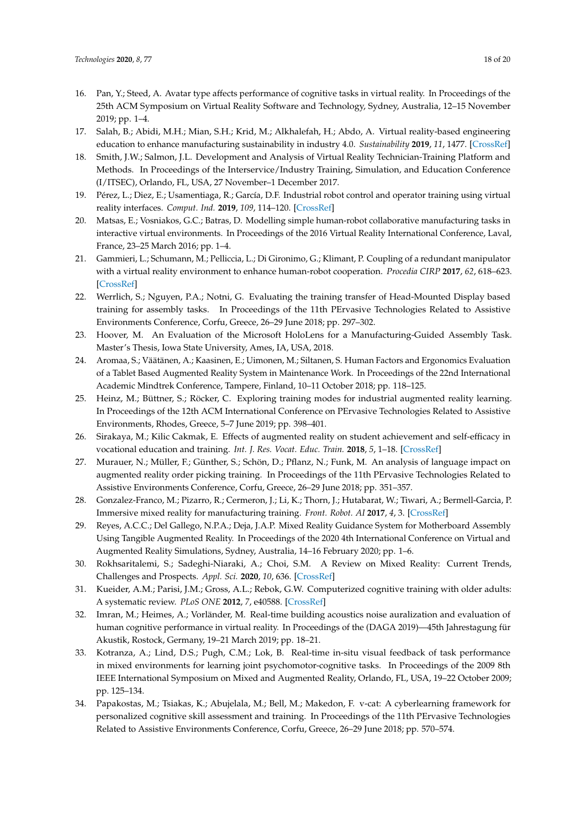- <span id="page-17-0"></span>16. Pan, Y.; Steed, A. Avatar type affects performance of cognitive tasks in virtual reality. In Proceedings of the 25th ACM Symposium on Virtual Reality Software and Technology, Sydney, Australia, 12–15 November 2019; pp. 1–4.
- <span id="page-17-1"></span>17. Salah, B.; Abidi, M.H.; Mian, S.H.; Krid, M.; Alkhalefah, H.; Abdo, A. Virtual reality-based engineering education to enhance manufacturing sustainability in industry 4.0. *Sustainability* **2019**, *11*, 1477. [\[CrossRef\]](http://dx.doi.org/10.3390/su11051477)
- <span id="page-17-2"></span>18. Smith, J.W.; Salmon, J.L. Development and Analysis of Virtual Reality Technician-Training Platform and Methods. In Proceedings of the Interservice/Industry Training, Simulation, and Education Conference (I/ITSEC), Orlando, FL, USA, 27 November–1 December 2017.
- <span id="page-17-3"></span>19. Pérez, L.; Diez, E.; Usamentiaga, R.; García, D.F. Industrial robot control and operator training using virtual reality interfaces. *Comput. Ind.* **2019**, *109*, 114–120. [\[CrossRef\]](http://dx.doi.org/10.1016/j.compind.2019.05.001)
- <span id="page-17-4"></span>20. Matsas, E.; Vosniakos, G.C.; Batras, D. Modelling simple human-robot collaborative manufacturing tasks in interactive virtual environments. In Proceedings of the 2016 Virtual Reality International Conference, Laval, France, 23–25 March 2016; pp. 1–4.
- <span id="page-17-5"></span>21. Gammieri, L.; Schumann, M.; Pelliccia, L.; Di Gironimo, G.; Klimant, P. Coupling of a redundant manipulator with a virtual reality environment to enhance human-robot cooperation. *Procedia CIRP* **2017**, *62*, 618–623. [\[CrossRef\]](http://dx.doi.org/10.1016/j.procir.2016.06.056)
- <span id="page-17-6"></span>22. Werrlich, S.; Nguyen, P.A.; Notni, G. Evaluating the training transfer of Head-Mounted Display based training for assembly tasks. In Proceedings of the 11th PErvasive Technologies Related to Assistive Environments Conference, Corfu, Greece, 26–29 June 2018; pp. 297–302.
- <span id="page-17-7"></span>23. Hoover, M. An Evaluation of the Microsoft HoloLens for a Manufacturing-Guided Assembly Task. Master's Thesis, Iowa State University, Ames, IA, USA, 2018.
- <span id="page-17-8"></span>24. Aromaa, S.; Väätänen, A.; Kaasinen, E.; Uimonen, M.; Siltanen, S. Human Factors and Ergonomics Evaluation of a Tablet Based Augmented Reality System in Maintenance Work. In Proceedings of the 22nd International Academic Mindtrek Conference, Tampere, Finland, 10–11 October 2018; pp. 118–125.
- <span id="page-17-9"></span>25. Heinz, M.; Büttner, S.; Röcker, C. Exploring training modes for industrial augmented reality learning. In Proceedings of the 12th ACM International Conference on PErvasive Technologies Related to Assistive Environments, Rhodes, Greece, 5–7 June 2019; pp. 398–401.
- <span id="page-17-10"></span>26. Sirakaya, M.; Kilic Cakmak, E. Effects of augmented reality on student achievement and self-efficacy in vocational education and training. *Int. J. Res. Vocat. Educ. Train.* **2018**, *5*, 1–18. [\[CrossRef\]](http://dx.doi.org/10.13152/IJRVET.5.1.1)
- <span id="page-17-11"></span>27. Murauer, N.; Müller, F.; Günther, S.; Schön, D.; Pflanz, N.; Funk, M. An analysis of language impact on augmented reality order picking training. In Proceedings of the 11th PErvasive Technologies Related to Assistive Environments Conference, Corfu, Greece, 26–29 June 2018; pp. 351–357.
- <span id="page-17-12"></span>28. Gonzalez-Franco, M.; Pizarro, R.; Cermeron, J.; Li, K.; Thorn, J.; Hutabarat, W.; Tiwari, A.; Bermell-Garcia, P. Immersive mixed reality for manufacturing training. *Front. Robot. AI* **2017**, *4*, 3. [\[CrossRef\]](http://dx.doi.org/10.3389/frobt.2017.00003)
- <span id="page-17-13"></span>29. Reyes, A.C.C.; Del Gallego, N.P.A.; Deja, J.A.P. Mixed Reality Guidance System for Motherboard Assembly Using Tangible Augmented Reality. In Proceedings of the 2020 4th International Conference on Virtual and Augmented Reality Simulations, Sydney, Australia, 14–16 February 2020; pp. 1–6.
- <span id="page-17-14"></span>30. Rokhsaritalemi, S.; Sadeghi-Niaraki, A.; Choi, S.M. A Review on Mixed Reality: Current Trends, Challenges and Prospects. *Appl. Sci.* **2020**, *10*, 636. [\[CrossRef\]](http://dx.doi.org/10.3390/app10020636)
- <span id="page-17-15"></span>31. Kueider, A.M.; Parisi, J.M.; Gross, A.L.; Rebok, G.W. Computerized cognitive training with older adults: A systematic review. *PLoS ONE* **2012**, *7*, e40588. [\[CrossRef\]](http://dx.doi.org/10.1371/journal.pone.0040588)
- <span id="page-17-16"></span>32. Imran, M.; Heimes, A.; Vorländer, M. Real-time building acoustics noise auralization and evaluation of human cognitive performance in virtual reality. In Proceedings of the (DAGA 2019)—45th Jahrestagung für Akustik, Rostock, Germany, 19–21 March 2019; pp. 18–21.
- <span id="page-17-17"></span>33. Kotranza, A.; Lind, D.S.; Pugh, C.M.; Lok, B. Real-time in-situ visual feedback of task performance in mixed environments for learning joint psychomotor-cognitive tasks. In Proceedings of the 2009 8th IEEE International Symposium on Mixed and Augmented Reality, Orlando, FL, USA, 19–22 October 2009; pp. 125–134.
- <span id="page-17-18"></span>34. Papakostas, M.; Tsiakas, K.; Abujelala, M.; Bell, M.; Makedon, F. v-cat: A cyberlearning framework for personalized cognitive skill assessment and training. In Proceedings of the 11th PErvasive Technologies Related to Assistive Environments Conference, Corfu, Greece, 26–29 June 2018; pp. 570–574.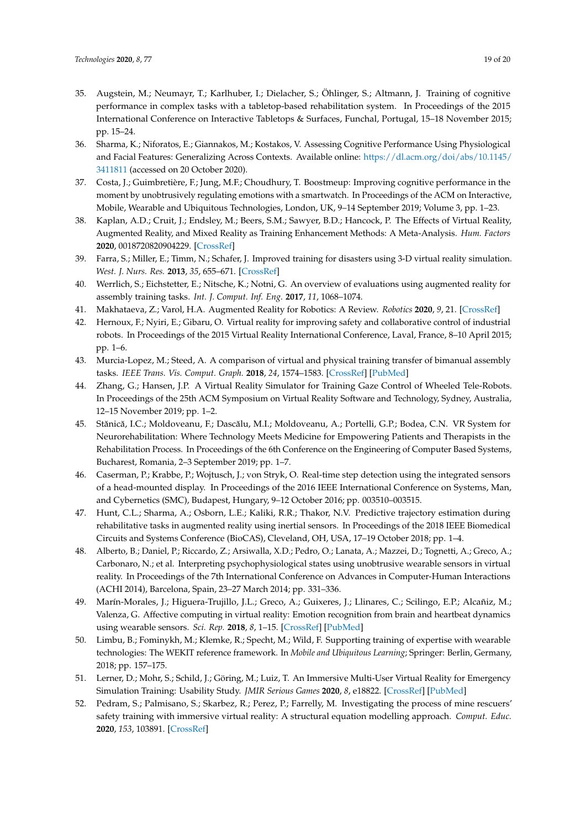- <span id="page-18-0"></span>35. Augstein, M.; Neumayr, T.; Karlhuber, I.; Dielacher, S.; Öhlinger, S.; Altmann, J. Training of cognitive performance in complex tasks with a tabletop-based rehabilitation system. In Proceedings of the 2015 International Conference on Interactive Tabletops & Surfaces, Funchal, Portugal, 15–18 November 2015; pp. 15–24.
- <span id="page-18-1"></span>36. Sharma, K.; Niforatos, E.; Giannakos, M.; Kostakos, V. Assessing Cognitive Performance Using Physiological and Facial Features: Generalizing Across Contexts. Available online: [https://dl.acm.org/doi/abs/10.1145/](https://dl.acm.org/doi/abs/10.1145/3411811) [3411811](https://dl.acm.org/doi/abs/10.1145/3411811) (accessed on 20 October 2020).
- <span id="page-18-2"></span>37. Costa, J.; Guimbretière, F.; Jung, M.F.; Choudhury, T. Boostmeup: Improving cognitive performance in the moment by unobtrusively regulating emotions with a smartwatch. In Proceedings of the ACM on Interactive, Mobile, Wearable and Ubiquitous Technologies, London, UK, 9–14 September 2019; Volume 3, pp. 1–23.
- <span id="page-18-3"></span>38. Kaplan, A.D.; Cruit, J.; Endsley, M.; Beers, S.M.; Sawyer, B.D.; Hancock, P. The Effects of Virtual Reality, Augmented Reality, and Mixed Reality as Training Enhancement Methods: A Meta-Analysis. *Hum. Factors* **2020**, 0018720820904229. [\[CrossRef\]](http://dx.doi.org/10.1177/0018720820904229)
- <span id="page-18-4"></span>39. Farra, S.; Miller, E.; Timm, N.; Schafer, J. Improved training for disasters using 3-D virtual reality simulation. *West. J. Nurs. Res.* **2013**, *35*, 655–671. [\[CrossRef\]](http://dx.doi.org/10.1177/0193945912471735)
- <span id="page-18-5"></span>40. Werrlich, S.; Eichstetter, E.; Nitsche, K.; Notni, G. An overview of evaluations using augmented reality for assembly training tasks. *Int. J. Comput. Inf. Eng.* **2017**, *11*, 1068–1074.
- <span id="page-18-6"></span>41. Makhataeva, Z.; Varol, H.A. Augmented Reality for Robotics: A Review. *Robotics* **2020**, *9*, 21. [\[CrossRef\]](http://dx.doi.org/10.3390/robotics9020021)
- <span id="page-18-7"></span>42. Hernoux, F.; Nyiri, E.; Gibaru, O. Virtual reality for improving safety and collaborative control of industrial robots. In Proceedings of the 2015 Virtual Reality International Conference, Laval, France, 8–10 April 2015; pp. 1–6.
- <span id="page-18-8"></span>43. Murcia-Lopez, M.; Steed, A. A comparison of virtual and physical training transfer of bimanual assembly tasks. *IEEE Trans. Vis. Comput. Graph.* **2018**, *24*, 1574–1583. [\[CrossRef\]](http://dx.doi.org/10.1109/TVCG.2018.2793638) [\[PubMed\]](http://www.ncbi.nlm.nih.gov/pubmed/29543175)
- <span id="page-18-9"></span>44. Zhang, G.; Hansen, J.P. A Virtual Reality Simulator for Training Gaze Control of Wheeled Tele-Robots. In Proceedings of the 25th ACM Symposium on Virtual Reality Software and Technology, Sydney, Australia, 12–15 November 2019; pp. 1–2.
- <span id="page-18-10"></span>45. Stănică, I.C.; Moldoveanu, F.; Dascălu, M.I.; Moldoveanu, A.; Portelli, G.P.; Bodea, C.N. VR System for Neurorehabilitation: Where Technology Meets Medicine for Empowering Patients and Therapists in the Rehabilitation Process. In Proceedings of the 6th Conference on the Engineering of Computer Based Systems, Bucharest, Romania, 2–3 September 2019; pp. 1–7.
- <span id="page-18-11"></span>46. Caserman, P.; Krabbe, P.; Wojtusch, J.; von Stryk, O. Real-time step detection using the integrated sensors of a head-mounted display. In Proceedings of the 2016 IEEE International Conference on Systems, Man, and Cybernetics (SMC), Budapest, Hungary, 9–12 October 2016; pp. 003510–003515.
- <span id="page-18-12"></span>47. Hunt, C.L.; Sharma, A.; Osborn, L.E.; Kaliki, R.R.; Thakor, N.V. Predictive trajectory estimation during rehabilitative tasks in augmented reality using inertial sensors. In Proceedings of the 2018 IEEE Biomedical Circuits and Systems Conference (BioCAS), Cleveland, OH, USA, 17–19 October 2018; pp. 1–4.
- <span id="page-18-13"></span>48. Alberto, B.; Daniel, P.; Riccardo, Z.; Arsiwalla, X.D.; Pedro, O.; Lanata, A.; Mazzei, D.; Tognetti, A.; Greco, A.; Carbonaro, N.; et al. Interpreting psychophysiological states using unobtrusive wearable sensors in virtual reality. In Proceedings of the 7th International Conference on Advances in Computer-Human Interactions (ACHI 2014), Barcelona, Spain, 23–27 March 2014; pp. 331–336.
- <span id="page-18-14"></span>49. Marín-Morales, J.; Higuera-Trujillo, J.L.; Greco, A.; Guixeres, J.; Llinares, C.; Scilingo, E.P.; Alcañiz, M.; Valenza, G. Affective computing in virtual reality: Emotion recognition from brain and heartbeat dynamics using wearable sensors. *Sci. Rep.* **2018**, *8*, 1–15. [\[CrossRef\]](http://dx.doi.org/10.1038/s41598-018-32063-4) [\[PubMed\]](http://www.ncbi.nlm.nih.gov/pubmed/30209261)
- <span id="page-18-15"></span>50. Limbu, B.; Fominykh, M.; Klemke, R.; Specht, M.; Wild, F. Supporting training of expertise with wearable technologies: The WEKIT reference framework. In *Mobile and Ubiquitous Learning*; Springer: Berlin, Germany, 2018; pp. 157–175.
- <span id="page-18-16"></span>51. Lerner, D.; Mohr, S.; Schild, J.; Göring, M.; Luiz, T. An Immersive Multi-User Virtual Reality for Emergency Simulation Training: Usability Study. *JMIR Serious Games* **2020**, *8*, e18822. [\[CrossRef\]](http://dx.doi.org/10.2196/18822) [\[PubMed\]](http://www.ncbi.nlm.nih.gov/pubmed/32735548)
- <span id="page-18-17"></span>52. Pedram, S.; Palmisano, S.; Skarbez, R.; Perez, P.; Farrelly, M. Investigating the process of mine rescuers' safety training with immersive virtual reality: A structural equation modelling approach. *Comput. Educ.* **2020**, *153*, 103891. [\[CrossRef\]](http://dx.doi.org/10.1016/j.compedu.2020.103891)